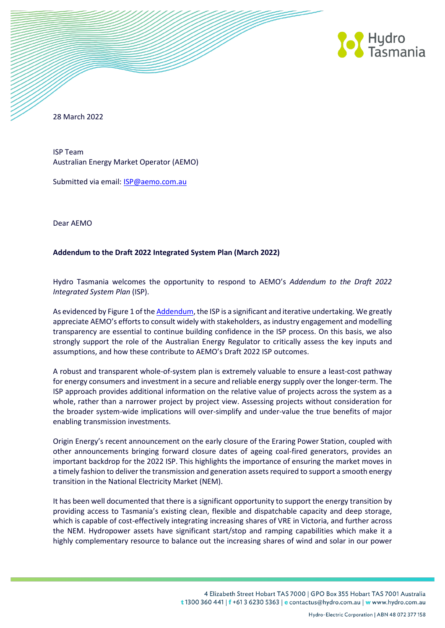

28 March 2022

ISP Team Australian Energy Market Operator (AEMO)

Submitted via email: **ISP@aemo.com.au** 

Dear AEMO

## **Addendum to the Draft 2022 Integrated System Plan (March 2022)**

Hydro Tasmania welcomes the opportunity to respond to AEMO's *Addendum to the Draft 2022 Integrated System Plan* (ISP).

As evidenced by Figure 1 of th[e Addendum,](https://aemo.com.au/-/media/files/major-publications/isp/2022/addendum/addendum-to-the-draft-2022-isp.pdf) the ISP is a significant and iterative undertaking. We greatly appreciate AEMO's efforts to consult widely with stakeholders, as industry engagement and modelling transparency are essential to continue building confidence in the ISP process. On this basis, we also strongly support the role of the Australian Energy Regulator to critically assess the key inputs and assumptions, and how these contribute to AEMO's Draft 2022 ISP outcomes.

A robust and transparent whole-of-system plan is extremely valuable to ensure a least-cost pathway for energy consumers and investment in a secure and reliable energy supply over the longer-term. The ISP approach provides additional information on the relative value of projects across the system as a whole, rather than a narrower project by project view. Assessing projects without consideration for the broader system-wide implications will over-simplify and under-value the true benefits of major enabling transmission investments.

Origin Energy's recent announcement on the early closure of the Eraring Power Station, coupled with other announcements bringing forward closure dates of ageing coal-fired generators, provides an important backdrop for the 2022 ISP. This highlights the importance of ensuring the market moves in a timely fashion to deliver the transmission and generation assets required to support a smooth energy transition in the National Electricity Market (NEM).

It has been well documented that there is a significant opportunity to support the energy transition by providing access to Tasmania's existing clean, flexible and dispatchable capacity and deep storage, which is capable of cost-effectively integrating increasing shares of VRE in Victoria, and further across the NEM. Hydropower assets have significant start/stop and ramping capabilities which make it a highly complementary resource to balance out the increasing shares of wind and solar in our power

> 4 Elizabeth Street Hobart TAS 7000 | GPO Box 355 Hobart TAS 7001 Australia t 1300 360 441 | f +61 3 6230 5363 | e contactus@hydro.com.au | w www.hydro.com.au